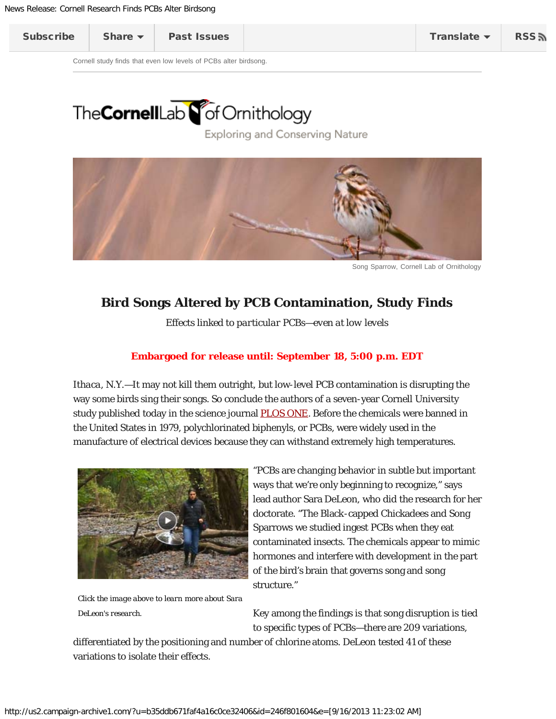<span id="page-0-0"></span>Cornell study finds that even low levels of PCBs alter birdsong.

## The CornellLab **S** of Ornithology

Exploring and Conserving Nature



Song Sparrow, Cornell Lab of Ornithology

## **Bird Songs Altered by PCB Contamination, Study Finds**

*Effects linked to particular PCBs—even at low levels*

## **Embargoed for release until: September 18, 5:00 p.m. EDT**

*Ithaca, N.Y.*—It may not kill them outright, but low-level PCB contamination is disrupting the way some birds sing their songs. So conclude the authors of a seven-year Cornell University study published today in the science journal [PLOS ONE.](http://dx.plos.org/10.1371/journal.pone.0073471) Before the chemicals were banned in the United States in 1979, polychlorinated biphenyls, or PCBs, were widely used in the manufacture of electrical devices because they can withstand extremely high temperatures.



*Click the image above to learn more about Sara DeLeon's research.*

"PCBs are changing behavior in subtle but important ways that we're only beginning to recognize," says lead author Sara DeLeon, who did the research for her doctorate. "The Black-capped Chickadees and Song Sparrows we studied ingest PCBs when they eat contaminated insects. The chemicals appear to mimic hormones and interfere with development in the part of the bird's brain that governs song and song structure."

Key among the findings is that song disruption is tied to specific types of PCBs—there are 209 variations,

differentiated by the positioning and number of chlorine atoms. DeLeon tested 41 of these variations to isolate their effects.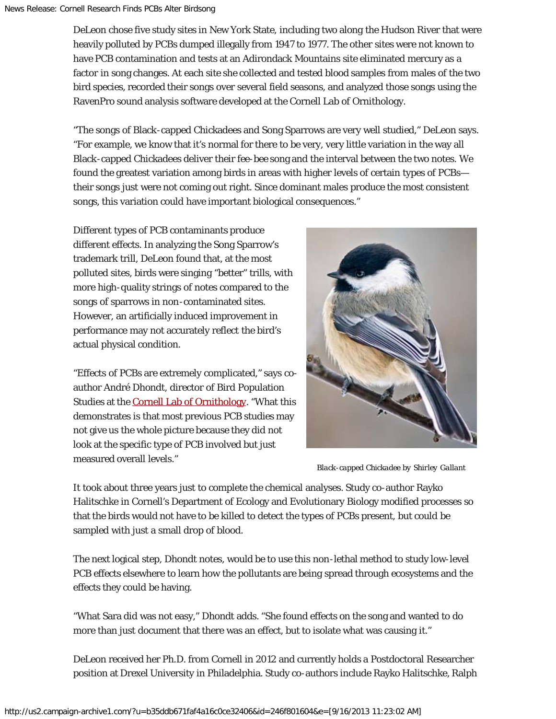DeLeon chose five study sites in New York State, including two along the Hudson River that were heavily polluted by PCBs dumped illegally from 1947 to 1977. The other sites were not known to have PCB contamination and tests at an Adirondack Mountains site eliminated mercury as a factor in song changes. At each site she collected and tested blood samples from males of the two bird species, recorded their songs over several field seasons, and analyzed those songs using the RavenPro sound analysis software developed at the Cornell Lab of Ornithology.

"The songs of Black-capped Chickadees and Song Sparrows are very well studied," DeLeon says. "For example, we know that it's normal for there to be very, very little variation in the way all Black-capped Chickadees deliver their *fee-bee* song and the interval between the two notes. We found the greatest variation among birds in areas with higher levels of certain types of PCBs their songs just were not coming out right. Since dominant males produce the most consistent songs, this variation could have important biological consequences."

Different types of PCB contaminants produce different effects. In analyzing the Song Sparrow's trademark trill, DeLeon found that, at the most polluted sites, birds were singing "better" trills, with more high-quality strings of notes compared to the songs of sparrows in non-contaminated sites. However, an artificially induced improvement in performance may not accurately reflect the bird's actual physical condition.

"Effects of PCBs are extremely complicated," says coauthor André Dhondt, director of Bird Population Studies at the **Cornell Lab of Ornithology**. "What this demonstrates is that most previous PCB studies may not give us the whole picture because they did not look at the specific type of PCB involved but just measured overall levels."



*Black-capped Chickadee by Shirley Gallant*

It took about three years just to complete the chemical analyses. Study co-author Rayko Halitschke in Cornell's Department of Ecology and Evolutionary Biology modified processes so that the birds would not have to be killed to detect the types of PCBs present, but could be sampled with just a small drop of blood.

The next logical step, Dhondt notes, would be to use this non-lethal method to study low-level PCB effects elsewhere to learn how the pollutants are being spread through ecosystems and the effects they could be having.

"What Sara did was not easy," Dhondt adds. "She found effects on the song and wanted to do more than just document that there was an effect, but to isolate what was causing it."

DeLeon received her Ph.D. from Cornell in 2012 and currently holds a Postdoctoral Researcher position at Drexel University in Philadelphia. Study co-authors include Rayko Halitschke, Ralph